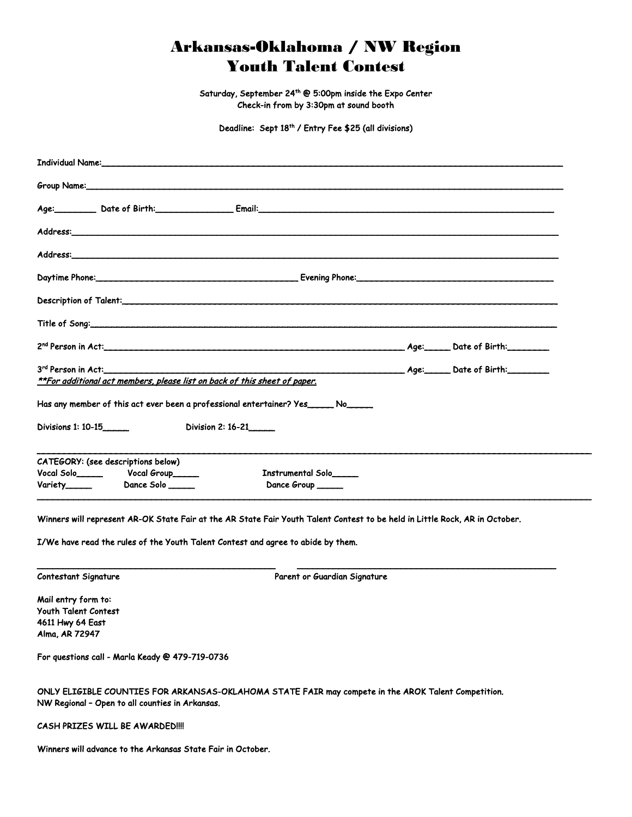## Arkansas-Oklahoma / NW Region Youth Talent Contest

Saturday, September 24th @ 5:00pm inside the Expo Center Check-in from by 3:30pm at sound booth

Deadline: Sept 18<sup>th</sup> / Entry Fee \$25 (all divisions)

| Individual Name: www.common.com/www.common.com/www.common.com/www.com/www.com/www.com/ |  |
|----------------------------------------------------------------------------------------|--|
|                                                                                        |  |
|                                                                                        |  |
|                                                                                        |  |
|                                                                                        |  |
|                                                                                        |  |
|                                                                                        |  |
|                                                                                        |  |
|                                                                                        |  |
| **For additional act members, please list on back of this sheet of paper.              |  |
| Has any member of this act ever been a professional entertainer? Yes ______ No______   |  |
| Division 2: 16-21______<br>Divisions 1: 10-15                                          |  |
| CATEGORY: (see descriptions below)<br>Instrumental Solo<br>Dance Group _____           |  |

Winners will represent AR-OK State Fair at the AR State Fair Youth Talent Contest to be held in Little Rock, AR in October.

\_\_\_\_\_\_\_\_\_\_\_\_\_\_\_\_\_\_\_\_\_\_\_\_\_\_\_\_\_\_\_\_\_\_\_\_\_\_\_\_\_\_\_\_\_\_ \_\_\_\_\_\_\_\_\_\_\_\_\_\_\_\_\_\_\_\_\_\_\_\_\_\_\_\_\_\_\_\_\_\_\_\_\_\_\_\_\_\_\_\_\_\_\_\_\_\_

I/We have read the rules of the Youth Talent Contest and agree to abide by them.

Contestant Signature **Parent or Guardian Signature** Parent or Guardian Signature

Mail entry form to: Youth Talent Contest 4611 Hwy 64 East Alma, AR 72947

For questions call - Marla Keady @ 479-719-0736

ONLY ELIGIBLE COUNTIES FOR ARKANSAS-OKLAHOMA STATE FAIR may compete in the AROK Talent Competition. NW Regional – Open to all counties in Arkansas.

CASH PRIZES WILL BE AWARDED!!!!

Winners will advance to the Arkansas State Fair in October.